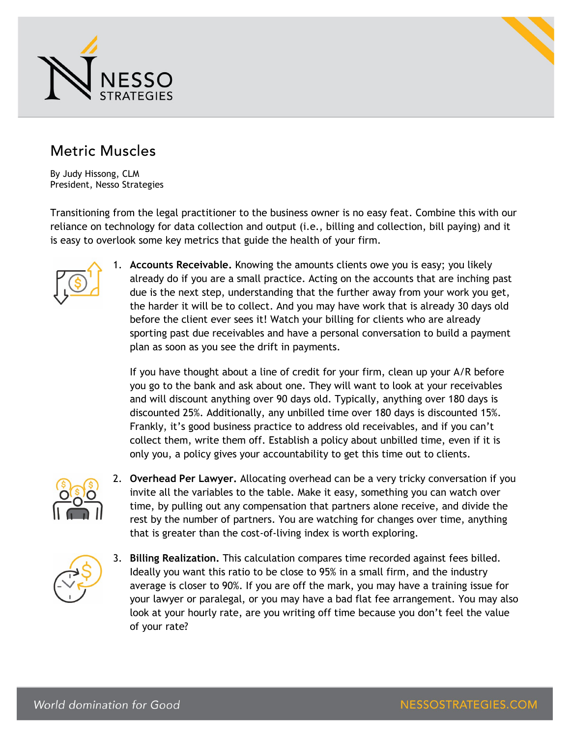



## Metric Muscles

By Judy Hissong, CLM President, Nesso Strategies

Transitioning from the legal practitioner to the business owner is no easy feat. Combine this with our reliance on technology for data collection and output (i.e., billing and collection, bill paying) and it is easy to overlook some key metrics that guide the health of your firm.



1. **Accounts Receivable.** Knowing the amounts clients owe you is easy; you likely already do if you are a small practice. Acting on the accounts that are inching past due is the next step, understanding that the further away from your work you get, the harder it will be to collect. And you may have work that is already 30 days old before the client ever sees it! Watch your billing for clients who are already sporting past due receivables and have a personal conversation to build a payment plan as soon as you see the drift in payments.

If you have thought about a line of credit for your firm, clean up your A/R before you go to the bank and ask about one. They will want to look at your receivables and will discount anything over 90 days old. Typically, anything over 180 days is discounted 25%. Additionally, any unbilled time over 180 days is discounted 15%. Frankly, it's good business practice to address old receivables, and if you can't collect them, write them off. Establish a policy about unbilled time, even if it is only you, a policy gives your accountability to get this time out to clients.



2. **Overhead Per Lawyer.** Allocating overhead can be a very tricky conversation if you invite all the variables to the table. Make it easy, something you can watch over time, by pulling out any compensation that partners alone receive, and divide the rest by the number of partners. You are watching for changes over time, anything that is greater than the cost-of-living index is worth exploring.



3. **Billing Realization.** This calculation compares time recorded against fees billed. Ideally you want this ratio to be close to 95% in a small firm, and the industry average is closer to 90%. If you are off the mark, you may have a training issue for your lawyer or paralegal, or you may have a bad flat fee arrangement. You may also look at your hourly rate, are you writing off time because you don't feel the value of your rate?